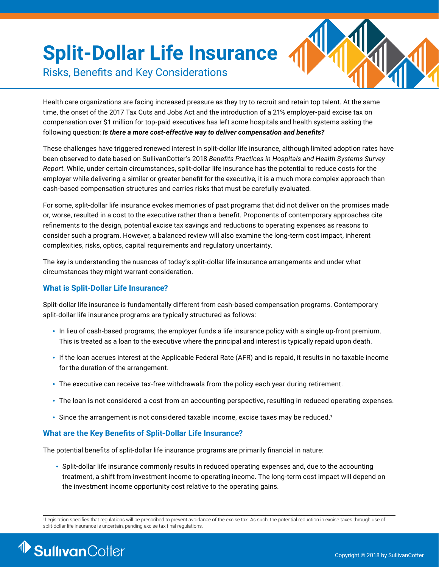# **Split-Dollar Life Insurance**



 $I<sub>y</sub>$  conditional between  $I<sub>y</sub>$ Risks, Benefits and Key Considerations

Health care organizations are facing increased pressure as they try to recruit and retain top talent. At the same time, the onset of the 2017 Tax Cuts and Jobs Act and the introduction of a 21% employer-paid excise tax on compensation over \$1 million for top-paid executives has left some hospitals and health systems asking the following question: *Is there a more cost-effective way to deliver compensation and benefits?* 

These challenges have triggered renewed interest in split-dollar life insurance, although limited adoption rates have been observed to date based on SullivanCotter's 2018 *Benefits Practices in Hospitals and Health Systems Survey Report*. While, under certain circumstances, split-dollar life insurance has the potential to reduce costs for the employer while delivering a similar or greater benefit for the executive, it is a much more complex approach than cash-based compensation structures and carries risks that must be carefully evaluated.

For some, split-dollar life insurance evokes memories of past programs that did not deliver on the promises made or, worse, resulted in a cost to the executive rather than a benefit. Proponents of contemporary approaches cite refinements to the design, potential excise tax savings and reductions to operating expenses as reasons to consider such a program. However, a balanced review will also examine the long-term cost impact, inherent complexities, risks, optics, capital requirements and regulatory uncertainty.

The key is understanding the nuances of today's split-dollar life insurance arrangements and under what circumstances they might warrant consideration.

### **What is Split-Dollar Life Insurance?**

Split-dollar life insurance is fundamentally different from cash-based compensation programs. Contemporary split-dollar life insurance programs are typically structured as follows:

- In lieu of cash-based programs, the employer funds a life insurance policy with a single up-front premium. This is treated as a loan to the executive where the principal and interest is typically repaid upon death.
- If the loan accrues interest at the Applicable Federal Rate (AFR) and is repaid, it results in no taxable income for the duration of the arrangement.
- The executive can receive tax-free withdrawals from the policy each year during retirement.
- The loan is not considered a cost from an accounting perspective, resulting in reduced operating expenses.
- Since the arrangement is not considered taxable income, excise taxes may be reduced.<sup>1</sup>

#### **What are the Key Benefits of Split-Dollar Life Insurance?**

The potential benefits of split-dollar life insurance programs are primarily financial in nature:

• Split-dollar life insurance commonly results in reduced operating expenses and, due to the accounting treatment, a shift from investment income to operating income. The long-term cost impact will depend on the investment income opportunity cost relative to the operating gains.

<sup>1</sup>Legislation specifies that regulations will be prescribed to prevent avoidance of the excise tax. As such, the potential reduction in excise taxes through use of split-dollar life insurance is uncertain, pending excise tax final regulations.

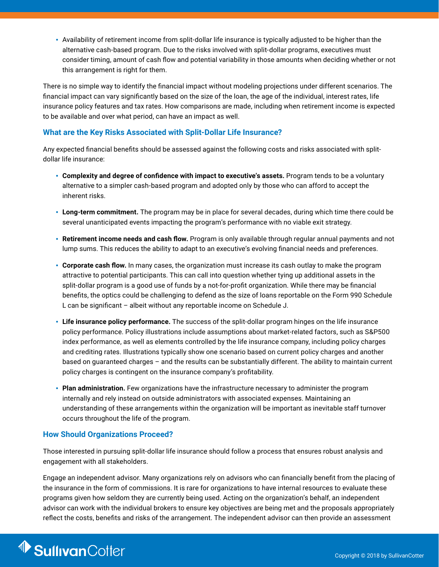• Availability of retirement income from split-dollar life insurance is typically adjusted to be higher than the alternative cash-based program. Due to the risks involved with split-dollar programs, executives must consider timing, amount of cash flow and potential variability in those amounts when deciding whether or not this arrangement is right for them.

There is no simple way to identify the financial impact without modeling projections under different scenarios. The financial impact can vary significantly based on the size of the loan, the age of the individual, interest rates, life insurance policy features and tax rates. How comparisons are made, including when retirement income is expected to be available and over what period, can have an impact as well.

#### **What are the Key Risks Associated with Split-Dollar Life Insurance?**

Any expected financial benefits should be assessed against the following costs and risks associated with splitdollar life insurance:

- **Complexity and degree of confidence with impact to executive's assets.** Program tends to be a voluntary alternative to a simpler cash-based program and adopted only by those who can afford to accept the inherent risks.
- **Long-term commitment.** The program may be in place for several decades, during which time there could be several unanticipated events impacting the program's performance with no viable exit strategy.
- **Retirement income needs and cash flow.** Program is only available through regular annual payments and not lump sums. This reduces the ability to adapt to an executive's evolving financial needs and preferences.
- **Corporate cash flow.** In many cases, the organization must increase its cash outlay to make the program attractive to potential participants. This can call into question whether tying up additional assets in the split-dollar program is a good use of funds by a not-for-profit organization. While there may be financial benefits, the optics could be challenging to defend as the size of loans reportable on the Form 990 Schedule L can be significant – albeit without any reportable income on Schedule J.
- **Life insurance policy performance.** The success of the split-dollar program hinges on the life insurance policy performance. Policy illustrations include assumptions about market-related factors, such as S&P500 index performance, as well as elements controlled by the life insurance company, including policy charges and crediting rates. Illustrations typically show one scenario based on current policy charges and another based on guaranteed charges – and the results can be substantially different. The ability to maintain current policy charges is contingent on the insurance company's profitability.
- **Plan administration.** Few organizations have the infrastructure necessary to administer the program internally and rely instead on outside administrators with associated expenses. Maintaining an understanding of these arrangements within the organization will be important as inevitable staff turnover occurs throughout the life of the program.

#### **How Should Organizations Proceed?**

Those interested in pursuing split-dollar life insurance should follow a process that ensures robust analysis and engagement with all stakeholders.

Engage an independent advisor. Many organizations rely on advisors who can financially benefit from the placing of the insurance in the form of commissions. It is rare for organizations to have internal resources to evaluate these programs given how seldom they are currently being used. Acting on the organization's behalf, an independent advisor can work with the individual brokers to ensure key objectives are being met and the proposals appropriately reflect the costs, benefits and risks of the arrangement. The independent advisor can then provide an assessment